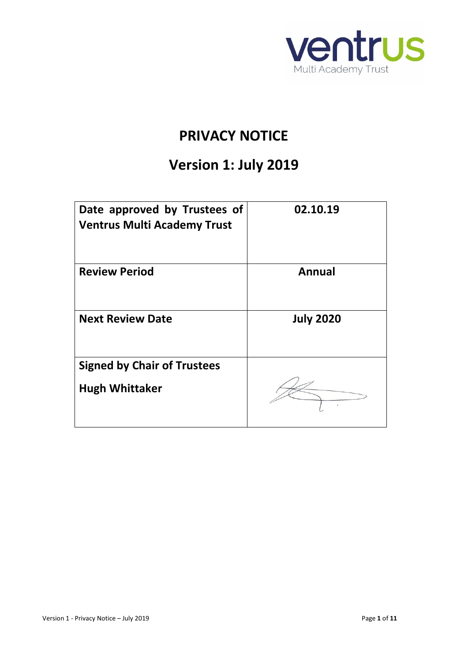

# **PRIVACY NOTICE**

# **Version 1: July 2019**

| Date approved by Trustees of<br><b>Ventrus Multi Academy Trust</b> | 02.10.19         |
|--------------------------------------------------------------------|------------------|
| <b>Review Period</b>                                               | Annual           |
| <b>Next Review Date</b>                                            | <b>July 2020</b> |
| <b>Signed by Chair of Trustees</b>                                 |                  |
| <b>Hugh Whittaker</b>                                              |                  |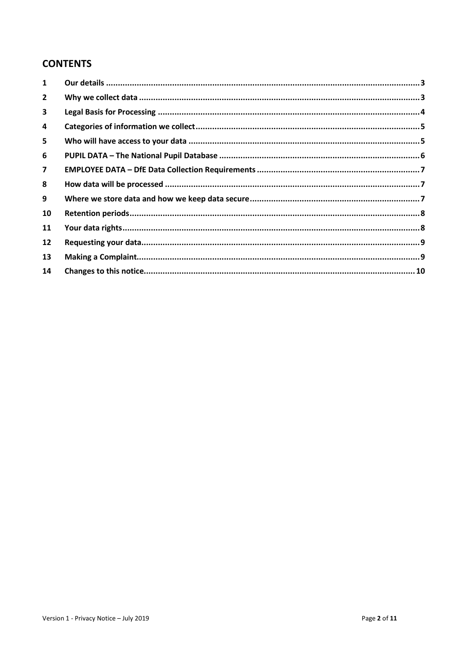# **CONTENTS**

| $\mathbf{1}$            |  |
|-------------------------|--|
| $\mathbf{2}$            |  |
| 3                       |  |
| 4                       |  |
| 5                       |  |
| 6                       |  |
| $\overline{\mathbf{z}}$ |  |
| 8                       |  |
| 9                       |  |
| 10                      |  |
| 11                      |  |
| 12                      |  |
| 13                      |  |
| 14                      |  |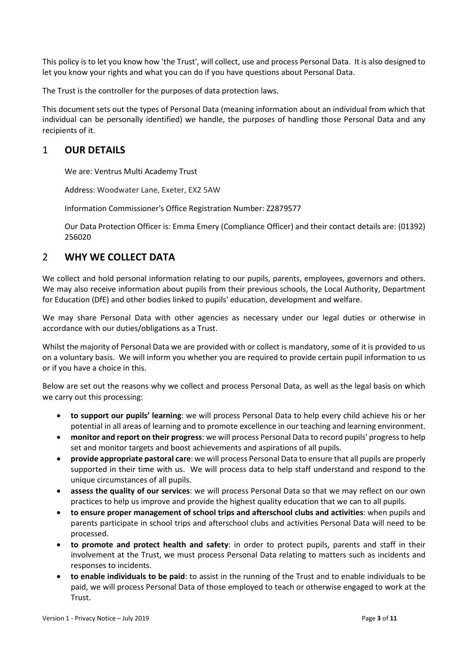This policy is to let you know how 'the Trust', will collect, use and process Personal Data. It is also designed to let you know your rights and what you can do if you have questions about Personal Data.

The Trust is the controller for the purposes of data protection laws.

This document sets out the types of Personal Data (meaning information about an individual from which that individual can be personally identified) we handle, the purposes of handling those Personal Data and any recipients of it.

# <span id="page-2-0"></span>1 **OUR DETAILS**

We are: Ventrus Multi Academy Trust

Address: Woodwater Lane, Exeter, EX2 5AW

Information Commissioner's Office Registration Number: Z2879577

Our Data Protection Officer is: Emma Emery (Compliance Officer) and their contact details are: (01392) 256020

## <span id="page-2-1"></span>2 **WHY WE COLLECT DATA**

We collect and hold personal information relating to our pupils, parents, employees, governors and others. We may also receive information about pupils from their previous schools, the Local Authority, Department for Education (DfE) and other bodies linked to pupils' education, development and welfare.

We may share Personal Data with other agencies as necessary under our legal duties or otherwise in accordance with our duties/obligations as a Trust.

Whilst the majority of Personal Data we are provided with or collect is mandatory, some of it is provided to us on a voluntary basis. We will inform you whether you are required to provide certain pupil information to us or if you have a choice in this.

Below are set out the reasons why we collect and process Personal Data, as well as the legal basis on which we carry out this processing:

- **to support our pupils' learning**: we will process Personal Data to help every child achieve his or her potential in all areas of learning and to promote excellence in our teaching and learning environment.
- **monitor and report on their progress**: we will process Personal Data to record pupils' progress to help set and monitor targets and boost achievements and aspirations of all pupils.
- **provide appropriate pastoral care**: we will process Personal Data to ensure that all pupils are properly supported in their time with us. We will process data to help staff understand and respond to the unique circumstances of all pupils.
- **assess the quality of our services**: we will process Personal Data so that we may reflect on our own practices to help us improve and provide the highest quality education that we can to all pupils.
- **to ensure proper management of school trips and afterschool clubs and activities**: when pupils and parents participate in school trips and afterschool clubs and activities Personal Data will need to be processed.
- **to promote and protect health and safety**: in order to protect pupils, parents and staff in their involvement at the Trust, we must process Personal Data relating to matters such as incidents and responses to incidents.
- **to enable individuals to be paid**: to assist in the running of the Trust and to enable individuals to be paid, we will process Personal Data of those employed to teach or otherwise engaged to work at the Trust.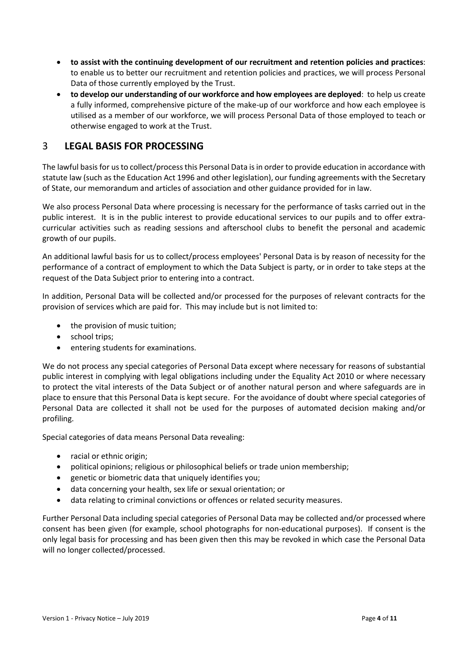- **to assist with the continuing development of our recruitment and retention policies and practices**: to enable us to better our recruitment and retention policies and practices, we will process Personal Data of those currently employed by the Trust.
- **to develop our understanding of our workforce and how employees are deployed**: to help us create a fully informed, comprehensive picture of the make-up of our workforce and how each employee is utilised as a member of our workforce, we will process Personal Data of those employed to teach or otherwise engaged to work at the Trust.

# <span id="page-3-0"></span>3 **LEGAL BASIS FOR PROCESSING**

The lawful basis for us to collect/process this Personal Data is in order to provide education in accordance with statute law (such as the Education Act 1996 and other legislation), our funding agreements with the Secretary of State, our memorandum and articles of association and other guidance provided for in law.

We also process Personal Data where processing is necessary for the performance of tasks carried out in the public interest. It is in the public interest to provide educational services to our pupils and to offer extracurricular activities such as reading sessions and afterschool clubs to benefit the personal and academic growth of our pupils.

An additional lawful basis for us to collect/process employees' Personal Data is by reason of necessity for the performance of a contract of employment to which the Data Subject is party, or in order to take steps at the request of the Data Subject prior to entering into a contract.

In addition, Personal Data will be collected and/or processed for the purposes of relevant contracts for the provision of services which are paid for. This may include but is not limited to:

- the provision of music tuition;
- school trips;
- entering students for examinations.

We do not process any special categories of Personal Data except where necessary for reasons of substantial public interest in complying with legal obligations including under the Equality Act 2010 or where necessary to protect the vital interests of the Data Subject or of another natural person and where safeguards are in place to ensure that this Personal Data is kept secure. For the avoidance of doubt where special categories of Personal Data are collected it shall not be used for the purposes of automated decision making and/or profiling.

Special categories of data means Personal Data revealing:

- racial or ethnic origin;
- political opinions; religious or philosophical beliefs or trade union membership;
- genetic or biometric data that uniquely identifies you;
- data concerning your health, sex life or sexual orientation; or
- data relating to criminal convictions or offences or related security measures.

Further Personal Data including special categories of Personal Data may be collected and/or processed where consent has been given (for example, school photographs for non-educational purposes). If consent is the only legal basis for processing and has been given then this may be revoked in which case the Personal Data will no longer collected/processed.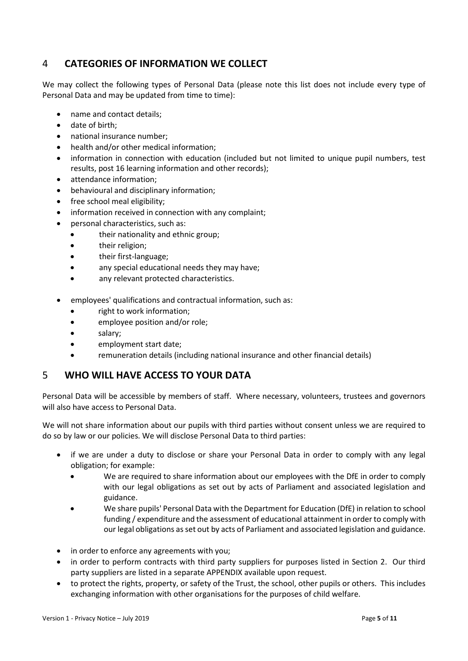# <span id="page-4-0"></span>4 **CATEGORIES OF INFORMATION WE COLLECT**

We may collect the following types of Personal Data (please note this list does not include every type of Personal Data and may be updated from time to time):

- name and contact details;
- date of birth;
- national insurance number;
- health and/or other medical information;
- information in connection with education (included but not limited to unique pupil numbers, test results, post 16 learning information and other records);
- attendance information;
- behavioural and disciplinary information;
- free school meal eligibility;
- information received in connection with any complaint;
- personal characteristics, such as:
	- their nationality and ethnic group;
	- their religion;
	- their first-language;
	- any special educational needs they may have;
	- any relevant protected characteristics.
- employees' qualifications and contractual information, such as:
	- right to work information;
	- employee position and/or role;
	- salary;
	- employment start date;
	- remuneration details (including national insurance and other financial details)

## <span id="page-4-1"></span>5 **WHO WILL HAVE ACCESS TO YOUR DATA**

Personal Data will be accessible by members of staff. Where necessary, volunteers, trustees and governors will also have access to Personal Data.

We will not share information about our pupils with third parties without consent unless we are required to do so by law or our policies. We will disclose Personal Data to third parties:

- if we are under a duty to disclose or share your Personal Data in order to comply with any legal obligation; for example:
	- We are required to share information about our employees with the DfE in order to comply with our legal obligations as set out by acts of Parliament and associated legislation and guidance.
	- We share pupils' Personal Data with the Department for Education (DfE) in relation to school funding / expenditure and the assessment of educational attainment in order to comply with our legal obligations as set out by acts of Parliament and associated legislation and guidance.
- in order to enforce any agreements with you;
- in order to perform contracts with third party suppliers for purposes listed in Section [2.](#page-2-1) Our third party suppliers are listed in a separate APPENDIX available upon request.
- to protect the rights, property, or safety of the Trust, the school, other pupils or others. This includes exchanging information with other organisations for the purposes of child welfare.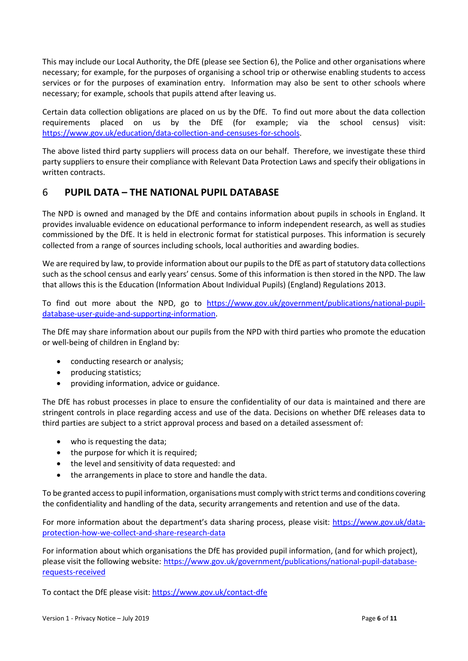This may include our Local Authority, the DfE (please see Section [6\)](#page-5-0), the Police and other organisations where necessary; for example, for the purposes of organising a school trip or otherwise enabling students to access services or for the purposes of examination entry. Information may also be sent to other schools where necessary; for example, schools that pupils attend after leaving us.

Certain data collection obligations are placed on us by the DfE. To find out more about the data collection requirements placed on us by the DfE (for example; via the school census) visit: [https://www.gov.uk/education/data-collection-and-censuses-for-schools.](https://www.gov.uk/education/data-collection-and-censuses-for-schools)

The above listed third party suppliers will process data on our behalf. Therefore, we investigate these third party suppliers to ensure their compliance with Relevant Data Protection Laws and specify their obligations in written contracts.

# <span id="page-5-0"></span>6 **PUPIL DATA – THE NATIONAL PUPIL DATABASE**

The NPD is owned and managed by the DfE and contains information about pupils in schools in England. It provides invaluable evidence on educational performance to inform independent research, as well as studies commissioned by the DfE. It is held in electronic format for statistical purposes. This information is securely collected from a range of sources including schools, local authorities and awarding bodies.

We are required by law, to provide information about our pupils to the DfE as part of statutory data collections such as the school census and early years' census. Some of this information is then stored in the NPD. The law that allows this is the Education (Information About Individual Pupils) (England) Regulations 2013.

To find out more about the NPD, go to [https://www.gov.uk/government/publications/national-pupil](https://www.gov.uk/government/publications/national-pupil-database-user-guide-and-supporting-information)[database-user-guide-and-supporting-information.](https://www.gov.uk/government/publications/national-pupil-database-user-guide-and-supporting-information)

The DfE may share information about our pupils from the NPD with third parties who promote the education or well-being of children in England by:

- conducting research or analysis;
- producing statistics;
- providing information, advice or guidance.

The DfE has robust processes in place to ensure the confidentiality of our data is maintained and there are stringent controls in place regarding access and use of the data. Decisions on whether DfE releases data to third parties are subject to a strict approval process and based on a detailed assessment of:

- who is requesting the data;
- the purpose for which it is required;
- the level and sensitivity of data requested: and
- the arrangements in place to store and handle the data.

To be granted access to pupil information, organisations must comply with strict terms and conditions covering the confidentiality and handling of the data, security arrangements and retention and use of the data.

For more information about the department's data sharing process, please visit: [https://www.gov.uk/data](https://www.gov.uk/data-protection-how-we-collect-and-share-research-data)[protection-how-we-collect-and-share-research-data](https://www.gov.uk/data-protection-how-we-collect-and-share-research-data)

For information about which organisations the DfE has provided pupil information, (and for which project), please visit the following website: [https://www.gov.uk/government/publications/national-pupil-database](https://www.gov.uk/government/publications/national-pupil-database-requests-received)[requests-received](https://www.gov.uk/government/publications/national-pupil-database-requests-received)

To contact the DfE please visit:<https://www.gov.uk/contact-dfe>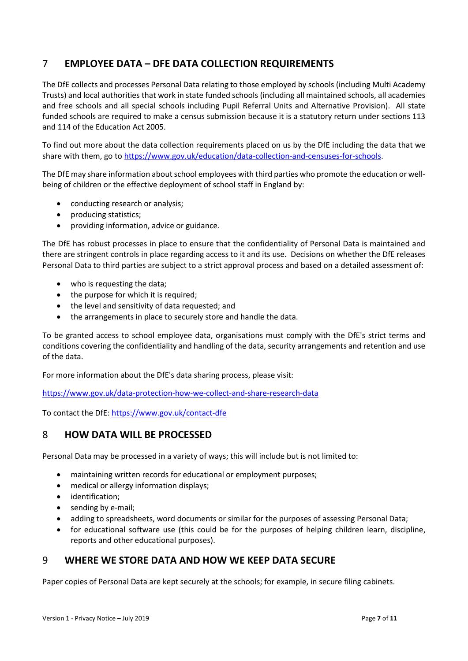# <span id="page-6-0"></span>7 **EMPLOYEE DATA – DFE DATA COLLECTION REQUIREMENTS**

The DfE collects and processes Personal Data relating to those employed by schools (including Multi Academy Trusts) and local authorities that work in state funded schools (including all maintained schools, all academies and free schools and all special schools including Pupil Referral Units and Alternative Provision). All state funded schools are required to make a census submission because it is a statutory return under sections 113 and 114 of the Education Act 2005.

To find out more about the data collection requirements placed on us by the DfE including the data that we share with them, go to [https://www.gov.uk/education/data-collection-and-censuses-for-schools.](https://www.gov.uk/education/data-collection-and-censuses-for-schools)

The DfE may share information about school employees with third parties who promote the education or wellbeing of children or the effective deployment of school staff in England by:

- conducting research or analysis;
- producing statistics;
- providing information, advice or guidance.

The DfE has robust processes in place to ensure that the confidentiality of Personal Data is maintained and there are stringent controls in place regarding access to it and its use. Decisions on whether the DfE releases Personal Data to third parties are subject to a strict approval process and based on a detailed assessment of:

- who is requesting the data;
- the purpose for which it is required;
- the level and sensitivity of data requested; and
- the arrangements in place to securely store and handle the data.

To be granted access to school employee data, organisations must comply with the DfE's strict terms and conditions covering the confidentiality and handling of the data, security arrangements and retention and use of the data.

For more information about the DfE's data sharing process, please visit:

<https://www.gov.uk/data-protection-how-we-collect-and-share-research-data>

To contact the DfE: <https://www.gov.uk/contact-dfe>

## <span id="page-6-1"></span>8 **HOW DATA WILL BE PROCESSED**

Personal Data may be processed in a variety of ways; this will include but is not limited to:

- maintaining written records for educational or employment purposes;
- medical or allergy information displays;
- identification;
- sending by e-mail;
- adding to spreadsheets, word documents or similar for the purposes of assessing Personal Data;
- for educational software use (this could be for the purposes of helping children learn, discipline, reports and other educational purposes).

## <span id="page-6-2"></span>9 **WHERE WE STORE DATA AND HOW WE KEEP DATA SECURE**

Paper copies of Personal Data are kept securely at the schools; for example, in secure filing cabinets.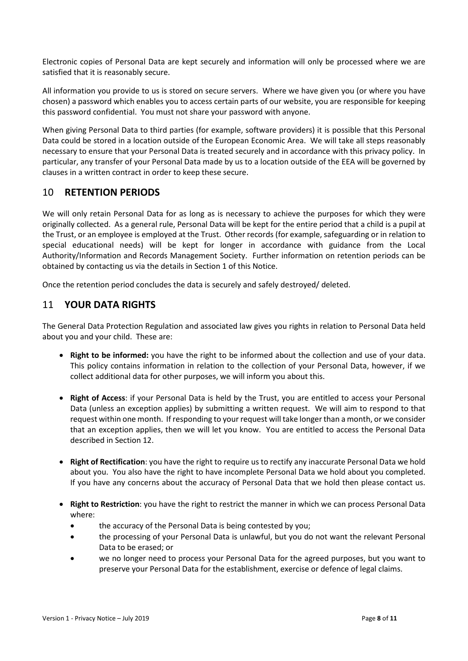Electronic copies of Personal Data are kept securely and information will only be processed where we are satisfied that it is reasonably secure.

All information you provide to us is stored on secure servers. Where we have given you (or where you have chosen) a password which enables you to access certain parts of our website, you are responsible for keeping this password confidential. You must not share your password with anyone.

When giving Personal Data to third parties (for example, software providers) it is possible that this Personal Data could be stored in a location outside of the European Economic Area. We will take all steps reasonably necessary to ensure that your Personal Data is treated securely and in accordance with this privacy policy. In particular, any transfer of your Personal Data made by us to a location outside of the EEA will be governed by clauses in a written contract in order to keep these secure.

# <span id="page-7-0"></span>10 **RETENTION PERIODS**

We will only retain Personal Data for as long as is necessary to achieve the purposes for which they were originally collected. As a general rule, Personal Data will be kept for the entire period that a child is a pupil at the Trust, or an employee is employed at the Trust. Other records (for example, safeguarding or in relation to special educational needs) will be kept for longer in accordance with guidance from the Local Authority/Information and Records Management Society. Further information on retention periods can be obtained by contacting us via the details in Section [1](#page-2-0) of this Notice.

Once the retention period concludes the data is securely and safely destroyed/ deleted.

## <span id="page-7-1"></span>11 **YOUR DATA RIGHTS**

The General Data Protection Regulation and associated law gives you rights in relation to Personal Data held about you and your child. These are:

- **Right to be informed:** you have the right to be informed about the collection and use of your data. This policy contains information in relation to the collection of your Personal Data, however, if we collect additional data for other purposes, we will inform you about this.
- **Right of Access**: if your Personal Data is held by the Trust, you are entitled to access your Personal Data (unless an exception applies) by submitting a written request. We will aim to respond to that request within one month. If responding to your request will take longer than a month, or we consider that an exception applies, then we will let you know. You are entitled to access the Personal Data described in Section [12.](#page-8-0)
- **Right of Rectification**: you have the right to require us to rectify any inaccurate Personal Data we hold about you. You also have the right to have incomplete Personal Data we hold about you completed. If you have any concerns about the accuracy of Personal Data that we hold then please contact us.
- **Right to Restriction**: you have the right to restrict the manner in which we can process Personal Data where:
	- the accuracy of the Personal Data is being contested by you;
	- the processing of your Personal Data is unlawful, but you do not want the relevant Personal Data to be erased; or
	- we no longer need to process your Personal Data for the agreed purposes, but you want to preserve your Personal Data for the establishment, exercise or defence of legal claims.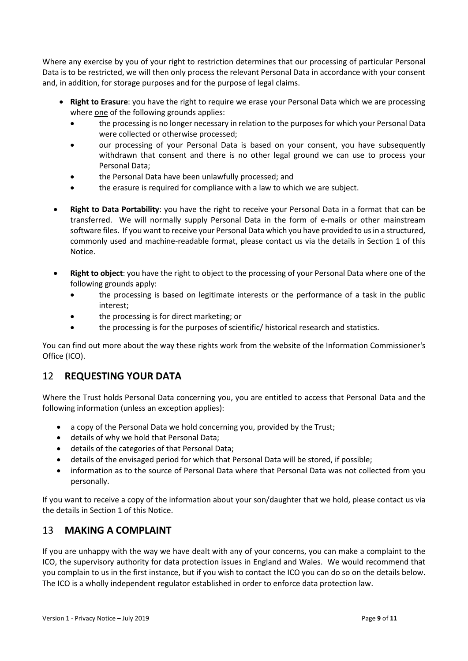Where any exercise by you of your right to restriction determines that our processing of particular Personal Data is to be restricted, we will then only process the relevant Personal Data in accordance with your consent and, in addition, for storage purposes and for the purpose of legal claims.

- **Right to Erasure**: you have the right to require we erase your Personal Data which we are processing where one of the following grounds applies:
	- the processing is no longer necessary in relation to the purposes for which your Personal Data were collected or otherwise processed;
	- our processing of your Personal Data is based on your consent, you have subsequently withdrawn that consent and there is no other legal ground we can use to process your Personal Data;
	- the Personal Data have been unlawfully processed; and
	- the erasure is required for compliance with a law to which we are subject.
- **Right to Data Portability**: you have the right to receive your Personal Data in a format that can be transferred. We will normally supply Personal Data in the form of e-mails or other mainstream software files. If you want to receive your Personal Data which you have provided to us in a structured, commonly used and machine-readable format, please contact us via the details in Section [1](#page-2-0) of this Notice.
- **Right to object**: you have the right to object to the processing of your Personal Data where one of the following grounds apply:
	- the processing is based on legitimate interests or the performance of a task in the public interest;
	- the processing is for direct marketing; or
	- the processing is for the purposes of scientific/ historical research and statistics.

You can find out more about the way these rights work from the website of the Information Commissioner's Office (ICO).

# <span id="page-8-0"></span>12 **REQUESTING YOUR DATA**

Where the Trust holds Personal Data concerning you, you are entitled to access that Personal Data and the following information (unless an exception applies):

- a copy of the Personal Data we hold concerning you, provided by the Trust;
- details of why we hold that Personal Data;
- details of the categories of that Personal Data;
- details of the envisaged period for which that Personal Data will be stored, if possible;
- information as to the source of Personal Data where that Personal Data was not collected from you personally.

If you want to receive a copy of the information about your son/daughter that we hold, please contact us via the details in Sectio[n 1](#page-2-0) of this Notice.

## <span id="page-8-1"></span>13 **MAKING A COMPLAINT**

If you are unhappy with the way we have dealt with any of your concerns, you can make a complaint to the ICO, the supervisory authority for data protection issues in England and Wales. We would recommend that you complain to us in the first instance, but if you wish to contact the ICO you can do so on the details below. The ICO is a wholly independent regulator established in order to enforce data protection law.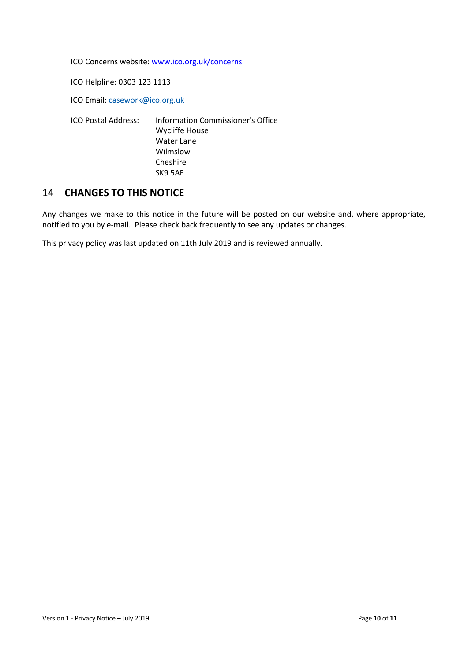ICO Concerns website: [www.ico.org.uk/concerns](http://www.ico.org.uk/concerns)

ICO Helpline: 0303 123 1113

ICO Email: [casework@ico.org.uk](mailto:casework@ico.org.uk)

ICO Postal Address: Information Commissioner's Office Wycliffe House Water Lane Wilmslow Cheshire SK9 5AF

## <span id="page-9-0"></span>14 **CHANGES TO THIS NOTICE**

Any changes we make to this notice in the future will be posted on our website and, where appropriate, notified to you by e-mail. Please check back frequently to see any updates or changes.

This privacy policy was last updated on 11th July 2019 and is reviewed annually.